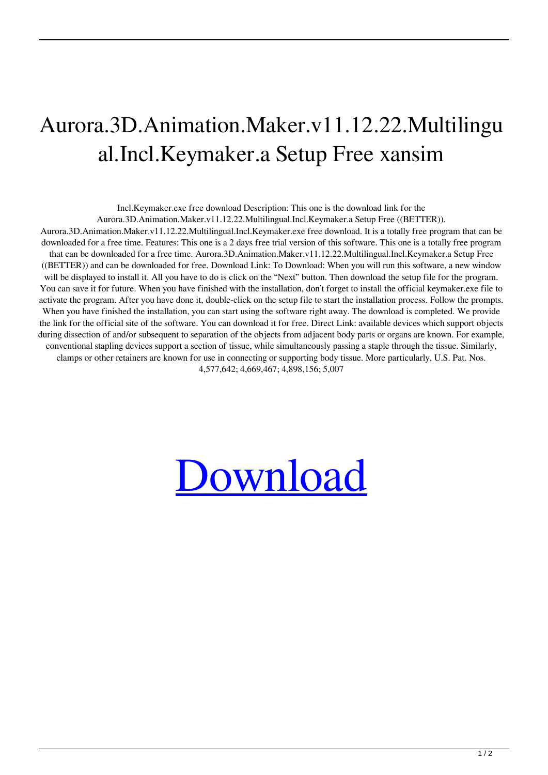## Aurora.3D.Animation.Maker.v11.12.22.Multilingu al.Incl.Keymaker.a Setup Free xansim

Incl.Keymaker.exe free download Description: This one is the download link for the Aurora.3D.Animation.Maker.v11.12.22.Multilingual.Incl.Keymaker.a Setup Free ((BETTER)). Aurora.3D.Animation.Maker.v11.12.22.Multilingual.Incl.Keymaker.exe free download. It is a totally free program that can be downloaded for a free time. Features: This one is a 2 days free trial version of this software. This one is a totally free program that can be downloaded for a free time. Aurora.3D.Animation.Maker.v11.12.22.Multilingual.Incl.Keymaker.a Setup Free ((BETTER)) and can be downloaded for free. Download Link: To Download: When you will run this software, a new window will be displayed to install it. All you have to do is click on the "Next" button. Then download the setup file for the program. You can save it for future. When you have finished with the installation, don't forget to install the official keymaker.exe file to activate the program. After you have done it, double-click on the setup file to start the installation process. Follow the prompts. When you have finished the installation, you can start using the software right away. The download is completed. We provide the link for the official site of the software. You can download it for free. Direct Link: available devices which support objects during dissection of and/or subsequent to separation of the objects from adjacent body parts or organs are known. For example, conventional stapling devices support a section of tissue, while simultaneously passing a staple through the tissue. Similarly, clamps or other retainers are known for use in connecting or supporting body tissue. More particularly, U.S. Pat. Nos. 4,577,642; 4,669,467; 4,898,156; 5,007